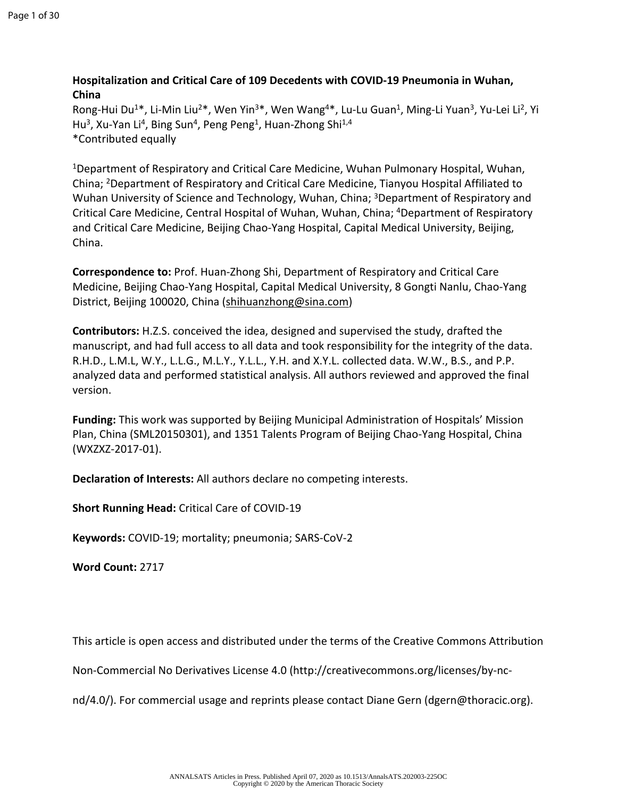# **Hospitalization and Critical Care of 109 Decedents with COVID-19 Pneumonia in Wuhan, China**

Rong-Hui Du<sup>1\*</sup>, Li-Min Liu<sup>2\*</sup>, Wen Yin<sup>3\*</sup>, Wen Wang<sup>4\*</sup>, Lu-Lu Guan<sup>1</sup>, Ming-Li Yuan<sup>3</sup>, Yu-Lei Li<sup>2</sup>, Yi Hu<sup>3</sup>, Xu-Yan Li<sup>4</sup>, Bing Sun<sup>4</sup>, Peng Peng<sup>1</sup>, Huan-Zhong Shi<sup>1,4</sup> \*Contributed equally

<sup>1</sup>Department of Respiratory and Critical Care Medicine, Wuhan Pulmonary Hospital, Wuhan, China; <sup>2</sup>Department of Respiratory and Critical Care Medicine, Tianyou Hospital Affiliated to Wuhan University of Science and Technology, Wuhan, China; <sup>3</sup>Department of Respiratory and Critical Care Medicine, Central Hospital of Wuhan, Wuhan, China; <sup>4</sup>Department of Respiratory and Critical Care Medicine, Beijing Chao-Yang Hospital, Capital Medical University, Beijing, China.

**Correspondence to:** Prof. Huan-Zhong Shi, Department of Respiratory and Critical Care Medicine, Beijing Chao-Yang Hospital, Capital Medical University, 8 Gongti Nanlu, Chao-Yang District, Beijing 100020, China [\(shihuanzhong@sina.com](mailto:shihuanzhong@sina.com))

**Contributors:** H.Z.S. conceived the idea, designed and supervised the study, drafted the manuscript, and had full access to all data and took responsibility for the integrity of the data. R.H.D., L.M.L, W.Y., L.L.G., M.L.Y., Y.L.L., Y.H. and X.Y.L. collected data. W.W., B.S., and P.P. analyzed data and performed statistical analysis. All authors reviewed and approved the final version.

**Funding:** This work was supported by Beijing Municipal Administration of Hospitals' Mission Plan, China (SML20150301), and 1351 Talents Program of Beijing Chao-Yang Hospital, China (WXZXZ-2017-01).

**Declaration of Interests:** All authors declare no competing interests.

**Short Running Head:** Critical Care of COVID-19

**Keywords:** COVID-19; mortality; pneumonia; SARS-CoV-2

**Word Count:** 2717

This article is open access and distributed under the terms of the Creative Commons Attribution

Non-Commercial No Derivatives License 4.0 (http://creativecommons.org/licenses/by-nc-

nd/4.0/). For commercial usage and reprints please contact Diane Gern (dgern@thoracic.org).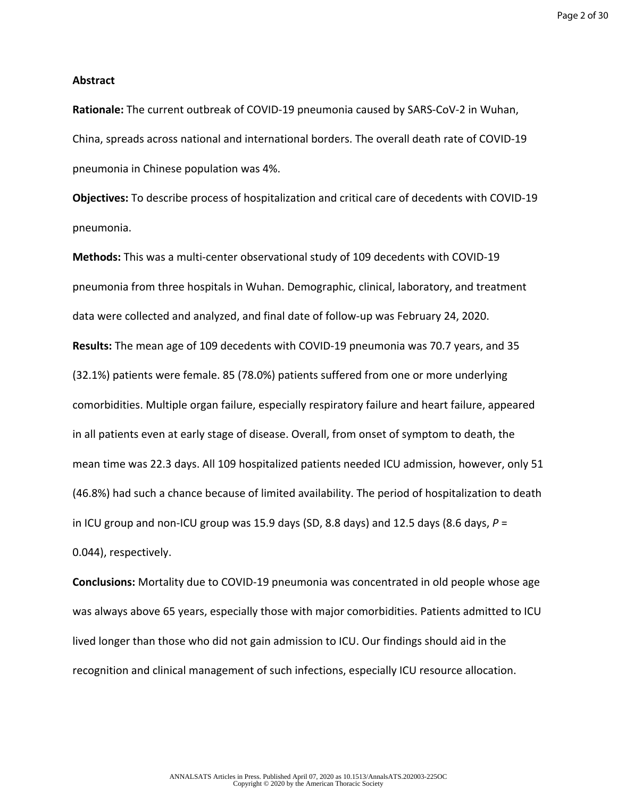### **Abstract**

**Rationale:** The current outbreak of COVID-19 pneumonia caused by SARS-CoV-2 in Wuhan, China, spreads across national and international borders. The overall death rate of COVID-19 pneumonia in Chinese population was 4%.

**Objectives:** To describe process of hospitalization and critical care of decedents with COVID-19 pneumonia.

**Methods:** This was a multi-center observational study of 109 decedents with COVID-19 pneumonia from three hospitals in Wuhan. Demographic, clinical, laboratory, and treatment data were collected and analyzed, and final date of follow-up was February 24, 2020. **Results:** The mean age of 109 decedents with COVID-19 pneumonia was 70.7 years, and 35 (32.1%) patients were female. 85 (78.0%) patients suffered from one or more underlying comorbidities. Multiple organ failure, especially respiratory failure and heart failure, appeared in all patients even at early stage of disease. Overall, from onset of symptom to death, the mean time was 22.3 days. All 109 hospitalized patients needed ICU admission, however, only 51 (46.8%) had such a chance because of limited availability. The period of hospitalization to death in ICU group and non-ICU group was 15.9 days (SD, 8.8 days) and 12.5 days (8.6 days,  $P =$ 0.044), respectively.

**Conclusions:** Mortality due to COVID-19 pneumonia was concentrated in old people whose age was always above 65 years, especially those with major comorbidities. Patients admitted to ICU lived longer than those who did not gain admission to ICU. Our findings should aid in the recognition and clinical management of such infections, especially ICU resource allocation.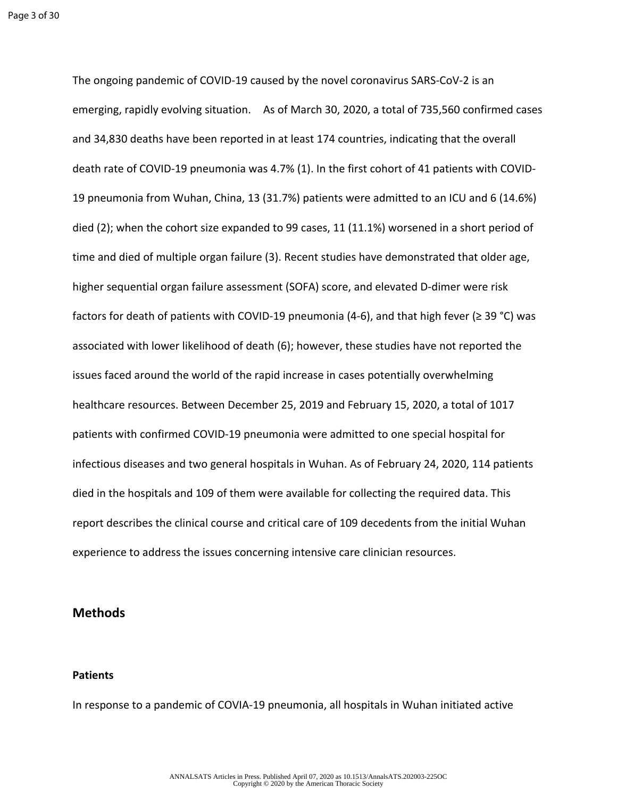The ongoing pandemic of COVID-19 caused by the novel coronavirus SARS-CoV-2 is an emerging, rapidly evolving situation. As of March 30, 2020, a total of 735,560 confirmed cases and 34,830 deaths have been reported in at least 174 countries, indicating that the overall death rate of COVID-19 pneumonia was 4.7% (1). In the first cohort of 41 patients with COVID-19 pneumonia from Wuhan, China, 13 (31.7%) patients were admitted to an ICU and 6 (14.6%) died (2); when the cohort size expanded to 99 cases, 11 (11.1%) worsened in a short period of time and died of multiple organ failure (3). Recent studies have demonstrated that older age, higher sequential organ failure assessment (SOFA) score, and elevated D-dimer were risk factors for death of patients with COVID-19 pneumonia (4-6), and that high fever ( $\geq$  39 °C) was associated with lower likelihood of death (6); however, these studies have not reported the issues faced around the world of the rapid increase in cases potentially overwhelming healthcare resources. Between December 25, 2019 and February 15, 2020, a total of 1017 patients with confirmed COVID-19 pneumonia were admitted to one special hospital for infectious diseases and two general hospitals in Wuhan. As of February 24, 2020, 114 patients died in the hospitals and 109 of them were available for collecting the required data. This report describes the clinical course and critical care of 109 decedents from the initial Wuhan experience to address the issues concerning intensive care clinician resources.

# **Methods**

## **Patients**

In response to a pandemic of COVIA-19 pneumonia, all hospitals in Wuhan initiated active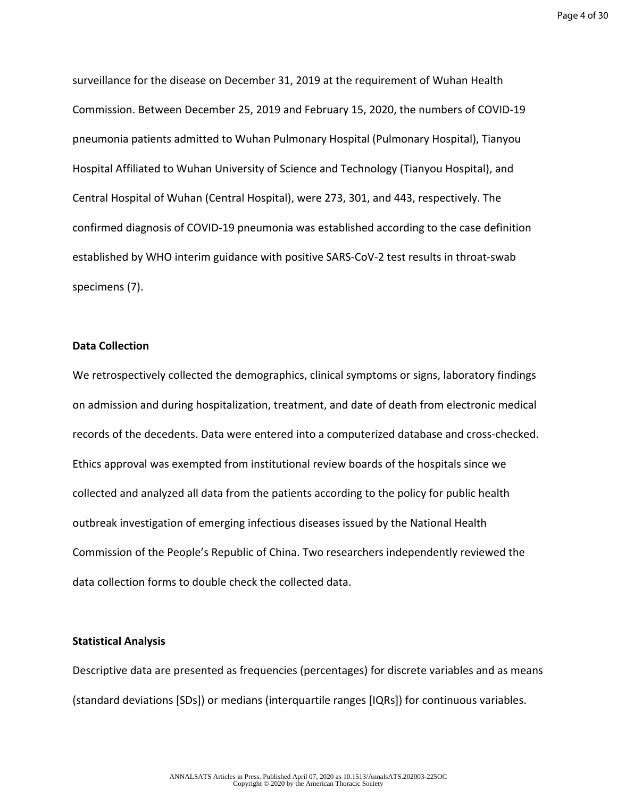Page 4 of 30

surveillance for the disease on December 31, 2019 at the requirement of Wuhan Health Commission. Between December 25, 2019 and February 15, 2020, the numbers of COVID-19 pneumonia patients admitted to Wuhan Pulmonary Hospital (Pulmonary Hospital), Tianyou Hospital Affiliated to Wuhan University of Science and Technology (Tianyou Hospital), and Central Hospital of Wuhan (Central Hospital), were 273, 301, and 443, respectively. The confirmed diagnosis of COVID-19 pneumonia was established according to the case definition established by WHO interim guidance with positive SARS-CoV-2 test results in throat-swab specimens (7).

## **Data Collection**

We retrospectively collected the demographics, clinical symptoms or signs, laboratory findings on admission and during hospitalization, treatment, and date of death from electronic medical records of the decedents. Data were entered into a computerized database and cross-checked. Ethics approval was exempted from institutional review boards of the hospitals since we collected and analyzed all data from the patients according to the policy for public health outbreak investigation of emerging infectious diseases issued by the National Health Commission of the People's Republic of China. Two researchers independently reviewed the data collection forms to double check the collected data.

### **Statistical Analysis**

Descriptive data are presented as frequencies (percentages) for discrete variables and as means (standard deviations [SDs]) or medians (interquartile ranges [IQRs]) for continuous variables.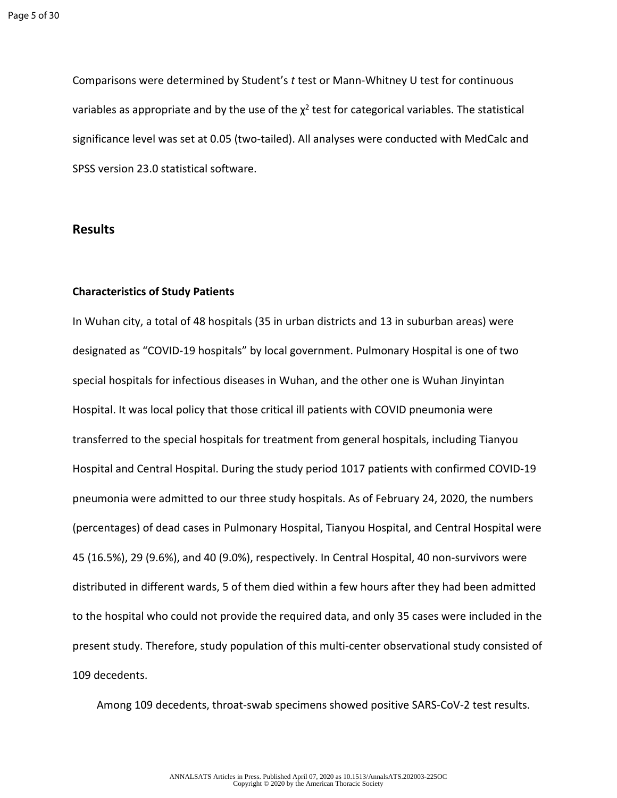Comparisons were determined by Student's *t* test or Mann-Whitney U test for continuous variables as appropriate and by the use of the  $\chi^2$  test for categorical variables. The statistical significance level was set at 0.05 (two-tailed). All analyses were conducted with MedCalc and SPSS version 23.0 statistical software.

# **Results**

## **Characteristics of Study Patients**

In Wuhan city, a total of 48 hospitals (35 in urban districts and 13 in suburban areas) were designated as "COVID-19 hospitals" by local government. Pulmonary Hospital is one of two special hospitals for infectious diseases in Wuhan, and the other one is Wuhan Jinyintan Hospital. It was local policy that those critical ill patients with COVID pneumonia were transferred to the special hospitals for treatment from general hospitals, including Tianyou Hospital and Central Hospital. During the study period 1017 patients with confirmed COVID-19 pneumonia were admitted to our three study hospitals. As of February 24, 2020, the numbers (percentages) of dead cases in Pulmonary Hospital, Tianyou Hospital, and Central Hospital were 45 (16.5%), 29 (9.6%), and 40 (9.0%), respectively. In Central Hospital, 40 non-survivors were distributed in different wards, 5 of them died within a few hours after they had been admitted to the hospital who could not provide the required data, and only 35 cases were included in the present study. Therefore, study population of this multi-center observational study consisted of 109 decedents.

Among 109 decedents, throat-swab specimens showed positive SARS-CoV-2 test results.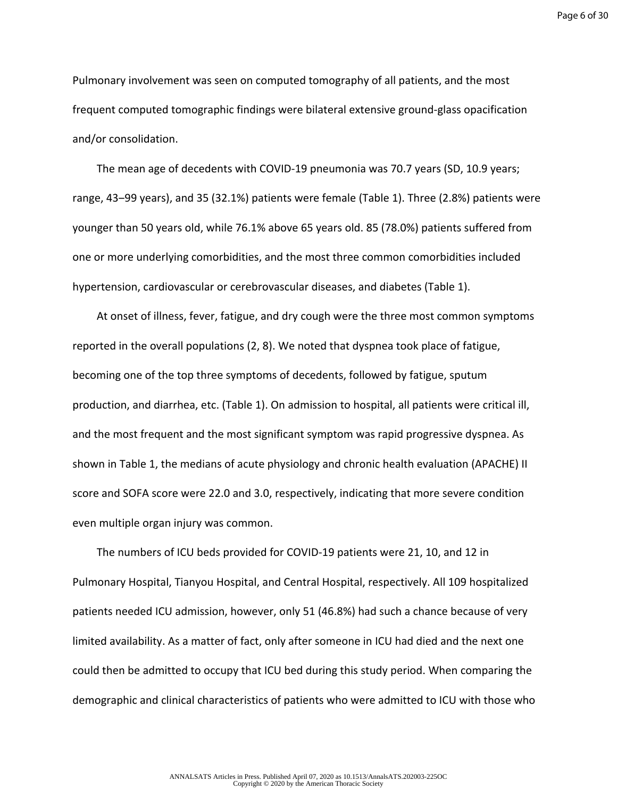Page 6 of 30

Pulmonary involvement was seen on computed tomography of all patients, and the most frequent computed tomographic findings were bilateral extensive ground-glass opacification and/or consolidation.

The mean age of decedents with COVID-19 pneumonia was 70.7 years (SD, 10.9 years; range, 43‒99 years), and 35 (32.1%) patients were female (Table 1). Three (2.8%) patients were younger than 50 years old, while 76.1% above 65 years old. 85 (78.0%) patients suffered from one or more underlying comorbidities, and the most three common comorbidities included hypertension, cardiovascular or cerebrovascular diseases, and diabetes (Table 1).

At onset of illness, fever, fatigue, and dry cough were the three most common symptoms reported in the overall populations (2, 8). We noted that dyspnea took place of fatigue, becoming one of the top three symptoms of decedents, followed by fatigue, sputum production, and diarrhea, etc. (Table 1). On admission to hospital, all patients were critical ill, and the most frequent and the most significant symptom was rapid progressive dyspnea. As shown in Table 1, the medians of acute physiology and chronic health evaluation (APACHE) II score and SOFA score were 22.0 and 3.0, respectively, indicating that more severe condition even multiple organ injury was common.

The numbers of ICU beds provided for COVID-19 patients were 21, 10, and 12 in Pulmonary Hospital, Tianyou Hospital, and Central Hospital, respectively. All 109 hospitalized patients needed ICU admission, however, only 51 (46.8%) had such a chance because of very limited availability. As a matter of fact, only after someone in ICU had died and the next one could then be admitted to occupy that ICU bed during this study period. When comparing the demographic and clinical characteristics of patients who were admitted to ICU with those who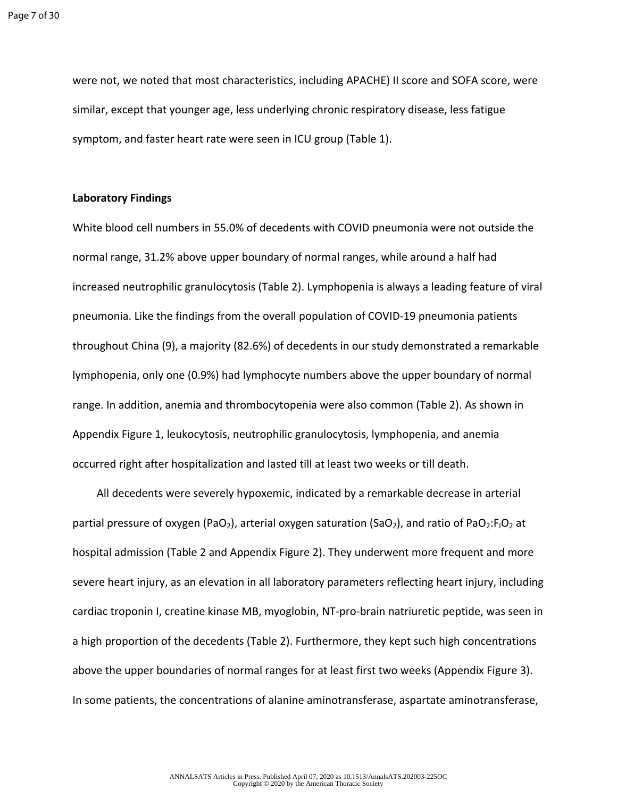were not, we noted that most characteristics, including APACHE) II score and SOFA score, were similar, except that younger age, less underlying chronic respiratory disease, less fatigue symptom, and faster heart rate were seen in ICU group (Table 1).

#### **Laboratory Findings**

White blood cell numbers in 55.0% of decedents with COVID pneumonia were not outside the normal range, 31.2% above upper boundary of normal ranges, while around a half had increased neutrophilic granulocytosis (Table 2). Lymphopenia is always a leading feature of viral pneumonia. Like the findings from the overall population of COVID-19 pneumonia patients throughout China (9), a majority (82.6%) of decedents in our study demonstrated a remarkable lymphopenia, only one (0.9%) had lymphocyte numbers above the upper boundary of normal range. In addition, anemia and thrombocytopenia were also common (Table 2). As shown in Appendix Figure 1, leukocytosis, neutrophilic granulocytosis, lymphopenia, and anemia occurred right after hospitalization and lasted till at least two weeks or till death.

All decedents were severely hypoxemic, indicated by a remarkable decrease in arterial partial pressure of oxygen (PaO<sub>2</sub>), arterial oxygen saturation (SaO<sub>2</sub>), and ratio of PaO<sub>2</sub>:F<sub>1</sub>O<sub>2</sub> at hospital admission (Table 2 and Appendix Figure 2). They underwent more frequent and more severe heart injury, as an elevation in all laboratory parameters reflecting heart injury, including cardiac troponin I, creatine kinase MB, myoglobin, NT-pro-brain natriuretic peptide, was seen in a high proportion of the decedents (Table 2). Furthermore, they kept such high concentrations above the upper boundaries of normal ranges for at least first two weeks (Appendix Figure 3). In some patients, the concentrations of alanine aminotransferase, aspartate aminotransferase,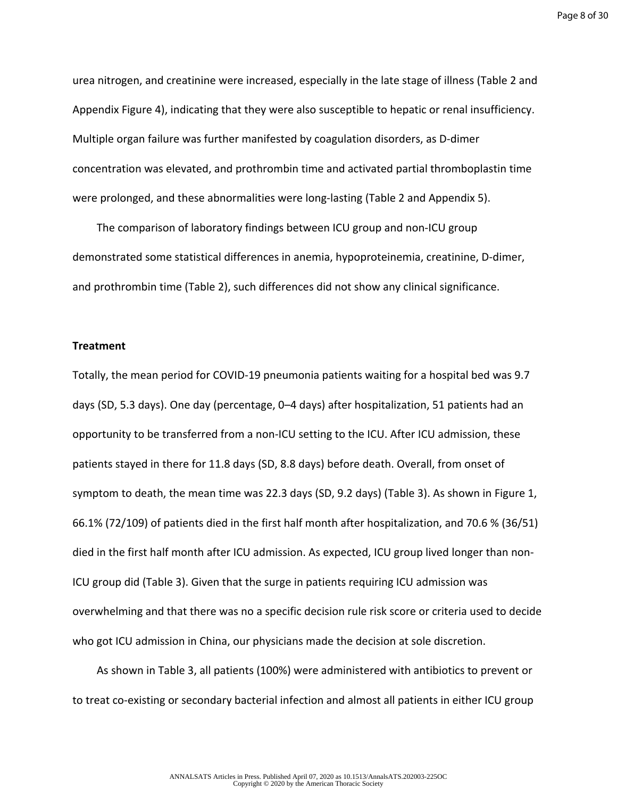urea nitrogen, and creatinine were increased, especially in the late stage of illness (Table 2 and Appendix Figure 4), indicating that they were also susceptible to hepatic or renal insufficiency. Multiple organ failure was further manifested by coagulation disorders, as D-dimer concentration was elevated, and prothrombin time and activated partial thromboplastin time were prolonged, and these abnormalities were long-lasting (Table 2 and Appendix 5).

The comparison of laboratory findings between ICU group and non-ICU group demonstrated some statistical differences in anemia, hypoproteinemia, creatinine, D-dimer, and prothrombin time (Table 2), such differences did not show any clinical significance.

## **Treatment**

Totally, the mean period for COVID-19 pneumonia patients waiting for a hospital bed was 9.7 days (SD, 5.3 days). One day (percentage, 0–4 days) after hospitalization, 51 patients had an opportunity to be transferred from a non-ICU setting to the ICU. After ICU admission, these patients stayed in there for 11.8 days (SD, 8.8 days) before death. Overall, from onset of symptom to death, the mean time was 22.3 days (SD, 9.2 days) (Table 3). As shown in Figure 1, 66.1% (72/109) of patients died in the first half month after hospitalization, and 70.6 % (36/51) died in the first half month after ICU admission. As expected, ICU group lived longer than non-ICU group did (Table 3). Given that the surge in patients requiring ICU admission was overwhelming and that there was no a specific decision rule risk score or criteria used to decide who got ICU admission in China, our physicians made the decision at sole discretion.

As shown in Table 3, all patients (100%) were administered with antibiotics to prevent or to treat co-existing or secondary bacterial infection and almost all patients in either ICU group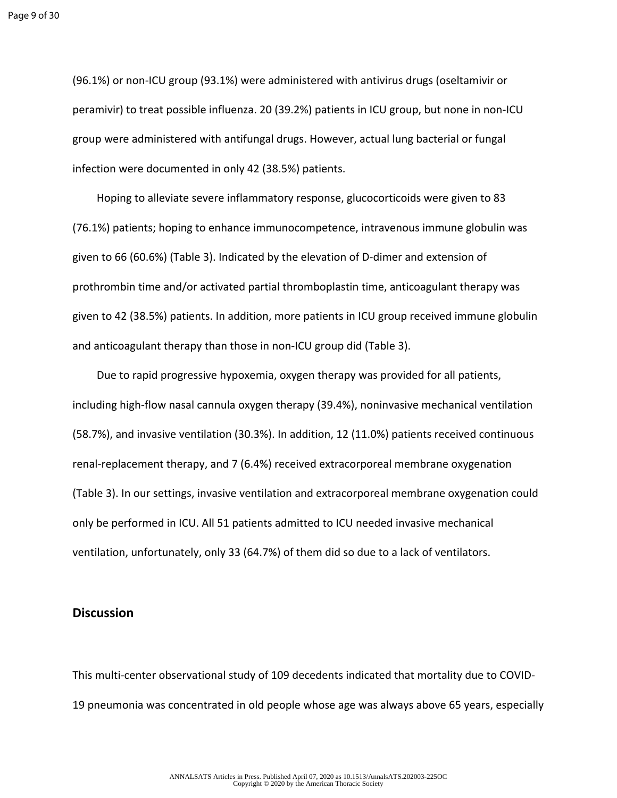(96.1%) or non-ICU group (93.1%) were administered with antivirus drugs (oseltamivir or peramivir) to treat possible influenza. 20 (39.2%) patients in ICU group, but none in non-ICU group were administered with antifungal drugs. However, actual lung bacterial or fungal infection were documented in only 42 (38.5%) patients.

Hoping to alleviate severe inflammatory response, glucocorticoids were given to 83 (76.1%) patients; hoping to enhance immunocompetence, intravenous immune globulin was given to 66 (60.6%) (Table 3). Indicated by the elevation of D-dimer and extension of prothrombin time and/or activated partial thromboplastin time, anticoagulant therapy was given to 42 (38.5%) patients. In addition, more patients in ICU group received immune globulin and anticoagulant therapy than those in non-ICU group did (Table 3).

Due to rapid progressive hypoxemia, oxygen therapy was provided for all patients, including high-flow nasal cannula oxygen therapy (39.4%), noninvasive mechanical ventilation (58.7%), and invasive ventilation (30.3%). In addition, 12 (11.0%) patients received continuous renal-replacement therapy, and 7 (6.4%) received extracorporeal membrane oxygenation (Table 3). In our settings, invasive ventilation and extracorporeal membrane oxygenation could only be performed in ICU. All 51 patients admitted to ICU needed invasive mechanical ventilation, unfortunately, only 33 (64.7%) of them did so due to a lack of ventilators.

## **Discussion**

This multi-center observational study of 109 decedents indicated that mortality due to COVID-19 pneumonia was concentrated in old people whose age was always above 65 years, especially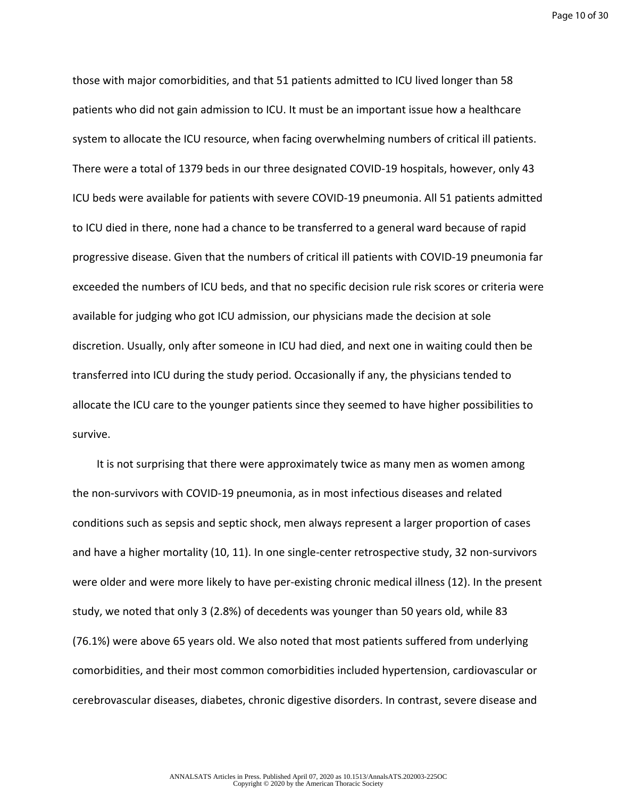Page 10 of 30

those with major comorbidities, and that 51 patients admitted to ICU lived longer than 58 patients who did not gain admission to ICU. It must be an important issue how a healthcare system to allocate the ICU resource, when facing overwhelming numbers of critical ill patients. There were a total of 1379 beds in our three designated COVID-19 hospitals, however, only 43 ICU beds were available for patients with severe COVID-19 pneumonia. All 51 patients admitted to ICU died in there, none had a chance to be transferred to a general ward because of rapid progressive disease. Given that the numbers of critical ill patients with COVID-19 pneumonia far exceeded the numbers of ICU beds, and that no specific decision rule risk scores or criteria were available for judging who got ICU admission, our physicians made the decision at sole discretion. Usually, only after someone in ICU had died, and next one in waiting could then be transferred into ICU during the study period. Occasionally if any, the physicians tended to allocate the ICU care to the younger patients since they seemed to have higher possibilities to survive.

It is not surprising that there were approximately twice as many men as women among the non-survivors with COVID-19 pneumonia, as in most infectious diseases and related conditions such as sepsis and septic shock, men always represent a larger proportion of cases and have a higher mortality (10, 11). In one single-center retrospective study, 32 non-survivors were older and were more likely to have per-existing chronic medical illness (12). In the present study, we noted that only 3 (2.8%) of decedents was younger than 50 years old, while 83 (76.1%) were above 65 years old. We also noted that most patients suffered from underlying comorbidities, and their most common comorbidities included hypertension, cardiovascular or cerebrovascular diseases, diabetes, chronic digestive disorders. In contrast, severe disease and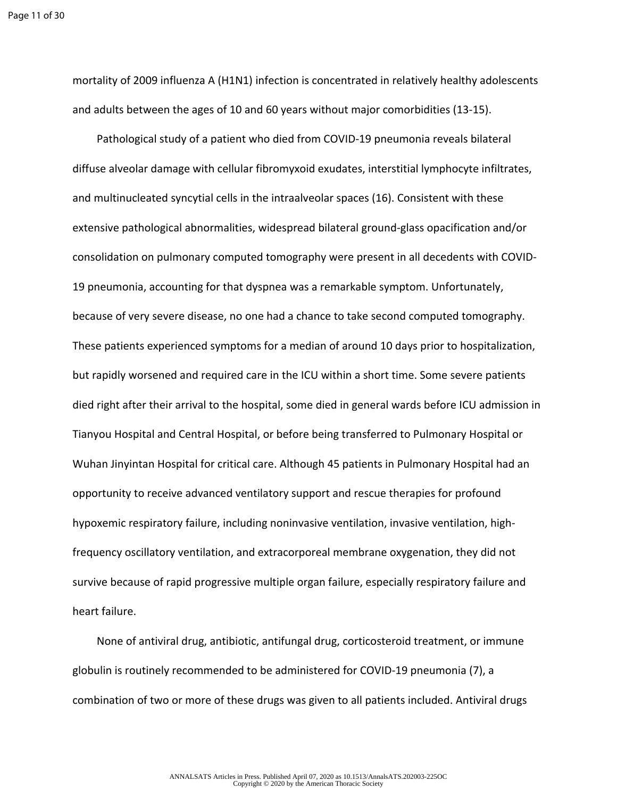mortality of 2009 influenza A (H1N1) infection is concentrated in relatively healthy adolescents and adults between the ages of 10 and 60 years without major comorbidities (13-15).

Pathological study of a patient who died from COVID-19 pneumonia reveals bilateral diffuse alveolar damage with cellular fibromyxoid exudates, interstitial lymphocyte infiltrates, and multinucleated syncytial cells in the intraalveolar spaces (16). Consistent with these extensive pathological abnormalities, widespread bilateral ground-glass opacification and/or consolidation on pulmonary computed tomography were present in all decedents with COVID-19 pneumonia, accounting for that dyspnea was a remarkable symptom. Unfortunately, because of very severe disease, no one had a chance to take second computed tomography. These patients experienced symptoms for a median of around 10 days prior to hospitalization, but rapidly worsened and required care in the ICU within a short time. Some severe patients died right after their arrival to the hospital, some died in general wards before ICU admission in Tianyou Hospital and Central Hospital, or before being transferred to Pulmonary Hospital or Wuhan Jinyintan Hospital for critical care. Although 45 patients in Pulmonary Hospital had an opportunity to receive advanced ventilatory support and rescue therapies for profound hypoxemic respiratory failure, including noninvasive ventilation, invasive ventilation, highfrequency oscillatory ventilation, and extracorporeal membrane oxygenation, they did not survive because of rapid progressive multiple organ failure, especially respiratory failure and heart failure.

None of antiviral drug, antibiotic, antifungal drug, corticosteroid treatment, or immune globulin is routinely recommended to be administered for COVID-19 pneumonia (7), a combination of two or more of these drugs was given to all patients included. Antiviral drugs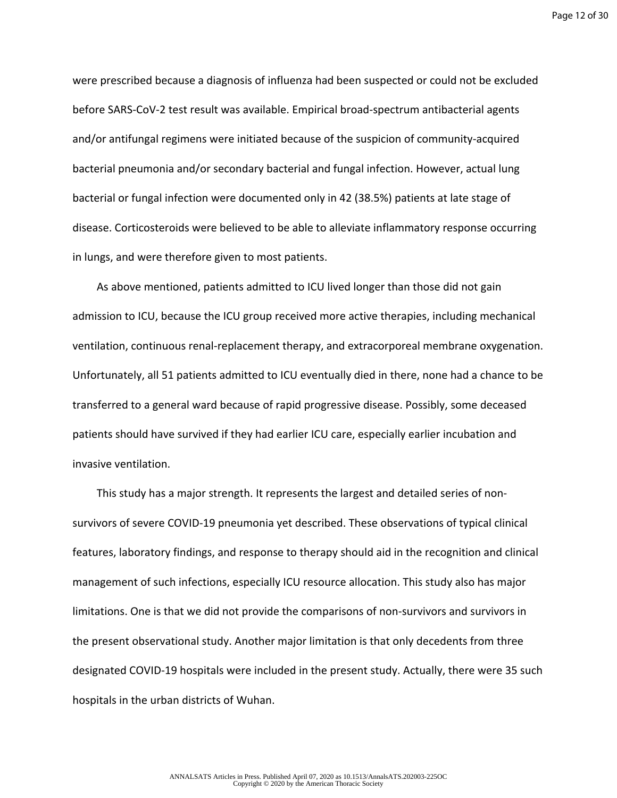Page 12 of 30

were prescribed because a diagnosis of influenza had been suspected or could not be excluded before SARS-CoV-2 test result was available. Empirical broad-spectrum antibacterial agents and/or antifungal regimens were initiated because of the suspicion of community-acquired bacterial pneumonia and/or secondary bacterial and fungal infection. However, actual lung bacterial or fungal infection were documented only in 42 (38.5%) patients at late stage of disease. Corticosteroids were believed to be able to alleviate inflammatory response occurring in lungs, and were therefore given to most patients.

As above mentioned, patients admitted to ICU lived longer than those did not gain admission to ICU, because the ICU group received more active therapies, including mechanical ventilation, continuous renal-replacement therapy, and extracorporeal membrane oxygenation. Unfortunately, all 51 patients admitted to ICU eventually died in there, none had a chance to be transferred to a general ward because of rapid progressive disease. Possibly, some deceased patients should have survived if they had earlier ICU care, especially earlier incubation and invasive ventilation.

This study has a major strength. It represents the largest and detailed series of nonsurvivors of severe COVID-19 pneumonia yet described. These observations of typical clinical features, laboratory findings, and response to therapy should aid in the recognition and clinical management of such infections, especially ICU resource allocation. This study also has major limitations. One is that we did not provide the comparisons of non-survivors and survivors in the present observational study. Another major limitation is that only decedents from three designated COVID-19 hospitals were included in the present study. Actually, there were 35 such hospitals in the urban districts of Wuhan.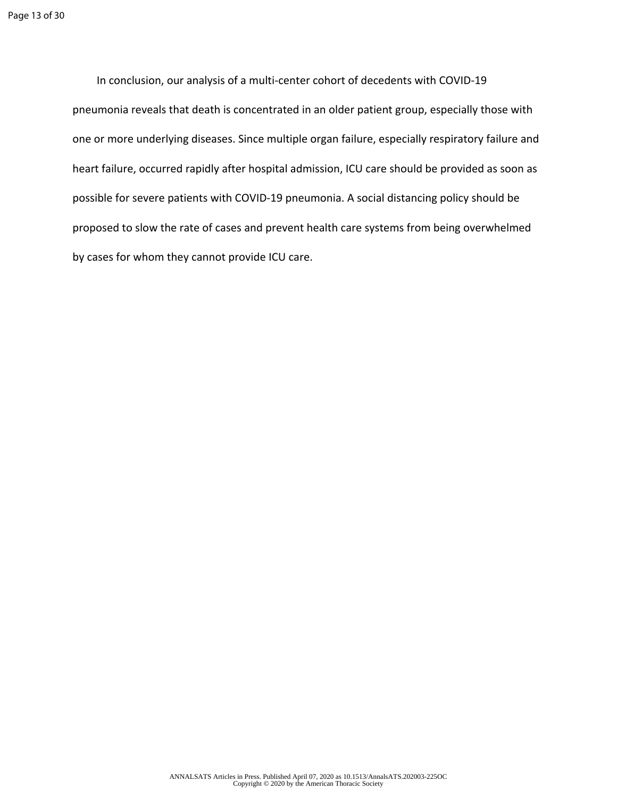In conclusion, our analysis of a multi-center cohort of decedents with COVID-19 pneumonia reveals that death is concentrated in an older patient group, especially those with one or more underlying diseases. Since multiple organ failure, especially respiratory failure and heart failure, occurred rapidly after hospital admission, ICU care should be provided as soon as possible for severe patients with COVID-19 pneumonia. A social distancing policy should be proposed to slow the rate of cases and prevent health care systems from being overwhelmed by cases for whom they cannot provide ICU care.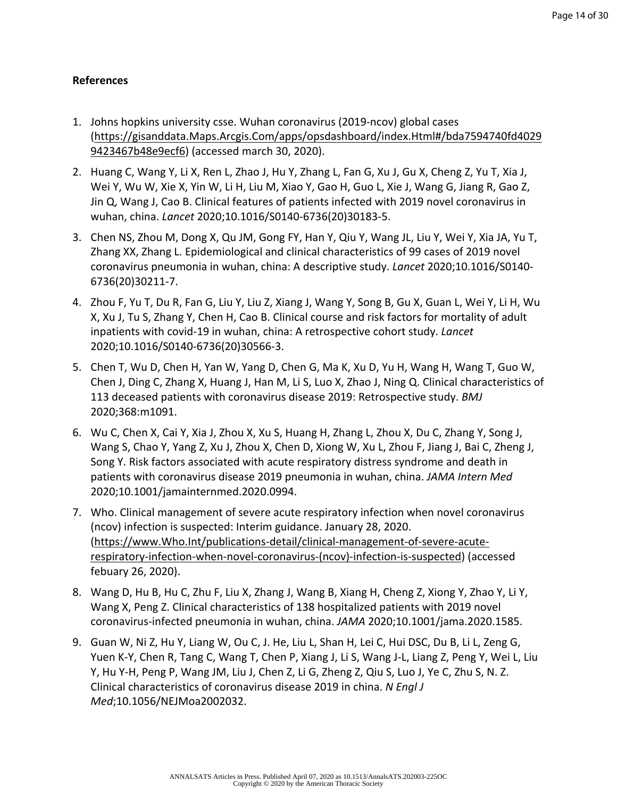# **References**

- 1. Johns hopkins university csse. Wuhan coronavirus (2019-ncov) global cases ([https://gisanddata.Maps.Arcgis.Com/apps/opsdashboard/index.Html#/bda7594740fd4029](https://gisanddata.Maps.Arcgis.Com/apps/opsdashboard/index.Html#/bda7594740fd40299423467b48e9ecf6) [9423467b48e9ecf6\)](https://gisanddata.Maps.Arcgis.Com/apps/opsdashboard/index.Html#/bda7594740fd40299423467b48e9ecf6) (accessed march 30, 2020).
- 2. Huang C, Wang Y, Li X, Ren L, Zhao J, Hu Y, Zhang L, Fan G, Xu J, Gu X, Cheng Z, Yu T, Xia J, Wei Y, Wu W, Xie X, Yin W, Li H, Liu M, Xiao Y, Gao H, Guo L, Xie J, Wang G, Jiang R, Gao Z, Jin Q, Wang J, Cao B. Clinical features of patients infected with 2019 novel coronavirus in wuhan, china. *Lancet* 2020;10.1016/S0140-6736(20)30183-5.
- 3. Chen NS, Zhou M, Dong X, Qu JM, Gong FY, Han Y, Qiu Y, Wang JL, Liu Y, Wei Y, Xia JA, Yu T, Zhang XX, Zhang L. Epidemiological and clinical characteristics of 99 cases of 2019 novel coronavirus pneumonia in wuhan, china: A descriptive study. *Lancet* 2020;10.1016/S0140- 6736(20)30211-7.
- 4. Zhou F, Yu T, Du R, Fan G, Liu Y, Liu Z, Xiang J, Wang Y, Song B, Gu X, Guan L, Wei Y, Li H, Wu X, Xu J, Tu S, Zhang Y, Chen H, Cao B. Clinical course and risk factors for mortality of adult inpatients with covid-19 in wuhan, china: A retrospective cohort study. *Lancet*  2020;10.1016/S0140-6736(20)30566-3.
- 5. Chen T, Wu D, Chen H, Yan W, Yang D, Chen G, Ma K, Xu D, Yu H, Wang H, Wang T, Guo W, Chen J, Ding C, Zhang X, Huang J, Han M, Li S, Luo X, Zhao J, Ning Q. Clinical characteristics of 113 deceased patients with coronavirus disease 2019: Retrospective study. *BMJ*  2020;368:m1091.
- 6. Wu C, Chen X, Cai Y, Xia J, Zhou X, Xu S, Huang H, Zhang L, Zhou X, Du C, Zhang Y, Song J, Wang S, Chao Y, Yang Z, Xu J, Zhou X, Chen D, Xiong W, Xu L, Zhou F, Jiang J, Bai C, Zheng J, Song Y. Risk factors associated with acute respiratory distress syndrome and death in patients with coronavirus disease 2019 pneumonia in wuhan, china. *JAMA Intern Med*  2020;10.1001/jamainternmed.2020.0994.
- 7. Who. Clinical management of severe acute respiratory infection when novel coronavirus (ncov) infection is suspected: Interim guidance. January 28, 2020. ([https://www.Who.Int/publications-detail/clinical-management-of-severe-acute](https://www.Who.Int/publications-detail/clinical-management-of-severe-acute-respiratory-infection-when-novel-coronavirus-(ncov)-infection-is-suspected)[respiratory-infection-when-novel-coronavirus-\(ncov\)-infection-is-suspected\)](https://www.Who.Int/publications-detail/clinical-management-of-severe-acute-respiratory-infection-when-novel-coronavirus-(ncov)-infection-is-suspected) (accessed febuary 26, 2020).
- 8. Wang D, Hu B, Hu C, Zhu F, Liu X, Zhang J, Wang B, Xiang H, Cheng Z, Xiong Y, Zhao Y, Li Y, Wang X, Peng Z. Clinical characteristics of 138 hospitalized patients with 2019 novel coronavirus-infected pneumonia in wuhan, china. *JAMA* 2020;10.1001/jama.2020.1585.
- 9. Guan W, Ni Z, Hu Y, Liang W, Ou C, J. He, Liu L, Shan H, Lei C, Hui DSC, Du B, Li L, Zeng G, Yuen K-Y, Chen R, Tang C, Wang T, Chen P, Xiang J, Li S, Wang J-L, Liang Z, Peng Y, Wei L, Liu Y, Hu Y-H, Peng P, Wang JM, Liu J, Chen Z, Li G, Zheng Z, Qiu S, Luo J, Ye C, Zhu S, N. Z. Clinical characteristics of coronavirus disease 2019 in china. *N Engl J Med*;10.1056/NEJMoa2002032.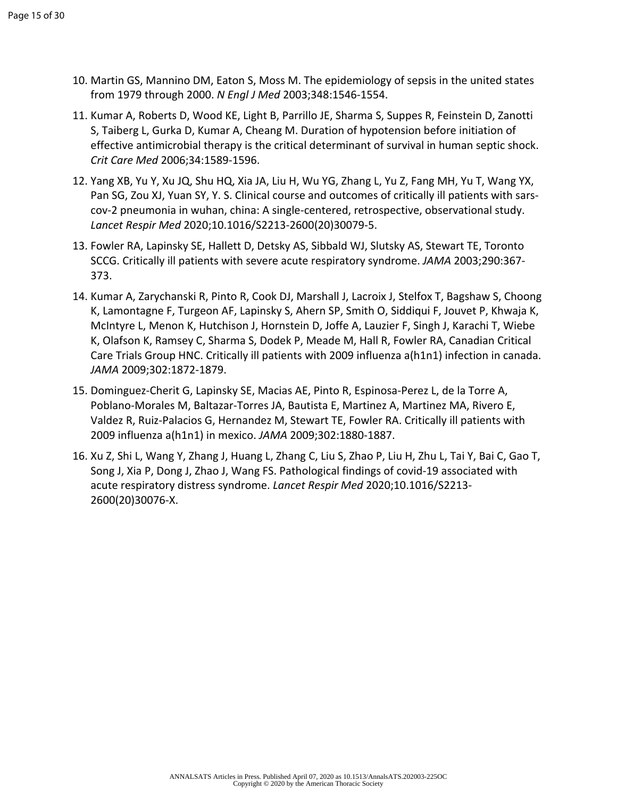- 10. Martin GS, Mannino DM, Eaton S, Moss M. The epidemiology of sepsis in the united states from 1979 through 2000. *N Engl J Med* 2003;348:1546-1554.
- 11. Kumar A, Roberts D, Wood KE, Light B, Parrillo JE, Sharma S, Suppes R, Feinstein D, Zanotti S, Taiberg L, Gurka D, Kumar A, Cheang M. Duration of hypotension before initiation of effective antimicrobial therapy is the critical determinant of survival in human septic shock. *Crit Care Med* 2006;34:1589-1596.
- 12. Yang XB, Yu Y, Xu JQ, Shu HQ, Xia JA, Liu H, Wu YG, Zhang L, Yu Z, Fang MH, Yu T, Wang YX, Pan SG, Zou XJ, Yuan SY, Y. S. Clinical course and outcomes of critically ill patients with sarscov-2 pneumonia in wuhan, china: A single-centered, retrospective, observational study. *Lancet Respir Med* 2020;10.1016/S2213-2600(20)30079-5.
- 13. Fowler RA, Lapinsky SE, Hallett D, Detsky AS, Sibbald WJ, Slutsky AS, Stewart TE, Toronto SCCG. Critically ill patients with severe acute respiratory syndrome. *JAMA* 2003;290:367- 373.
- 14. Kumar A, Zarychanski R, Pinto R, Cook DJ, Marshall J, Lacroix J, Stelfox T, Bagshaw S, Choong K, Lamontagne F, Turgeon AF, Lapinsky S, Ahern SP, Smith O, Siddiqui F, Jouvet P, Khwaja K, McIntyre L, Menon K, Hutchison J, Hornstein D, Joffe A, Lauzier F, Singh J, Karachi T, Wiebe K, Olafson K, Ramsey C, Sharma S, Dodek P, Meade M, Hall R, Fowler RA, Canadian Critical Care Trials Group HNC. Critically ill patients with 2009 influenza a(h1n1) infection in canada. *JAMA* 2009;302:1872-1879.
- 15. Dominguez-Cherit G, Lapinsky SE, Macias AE, Pinto R, Espinosa-Perez L, de la Torre A, Poblano-Morales M, Baltazar-Torres JA, Bautista E, Martinez A, Martinez MA, Rivero E, Valdez R, Ruiz-Palacios G, Hernandez M, Stewart TE, Fowler RA. Critically ill patients with 2009 influenza a(h1n1) in mexico. *JAMA* 2009;302:1880-1887.
- 16. Xu Z, Shi L, Wang Y, Zhang J, Huang L, Zhang C, Liu S, Zhao P, Liu H, Zhu L, Tai Y, Bai C, Gao T, Song J, Xia P, Dong J, Zhao J, Wang FS. Pathological findings of covid-19 associated with acute respiratory distress syndrome. *Lancet Respir Med* 2020;10.1016/S2213- 2600(20)30076-X.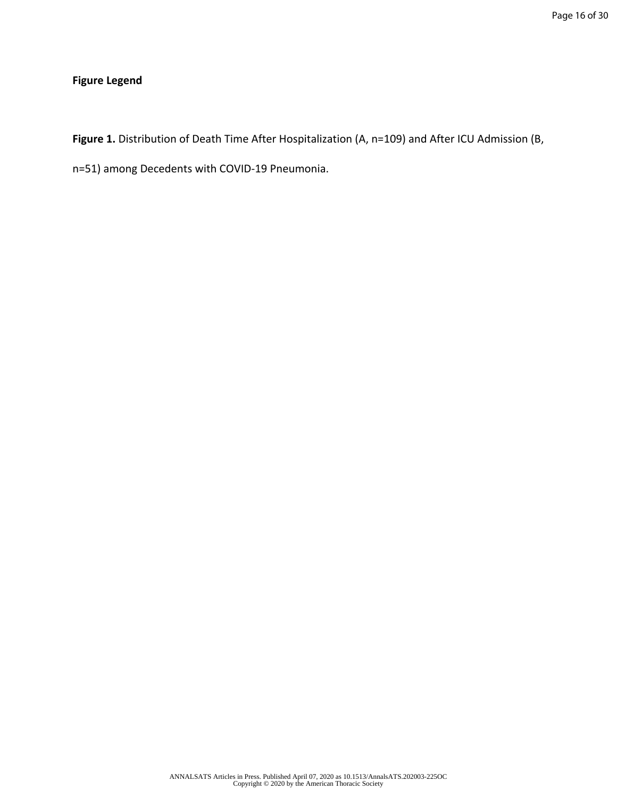# **Figure Legend**

**Figure 1.** Distribution of Death Time After Hospitalization (A, n=109) and After ICU Admission (B,

n=51) among Decedents with COVID-19 Pneumonia.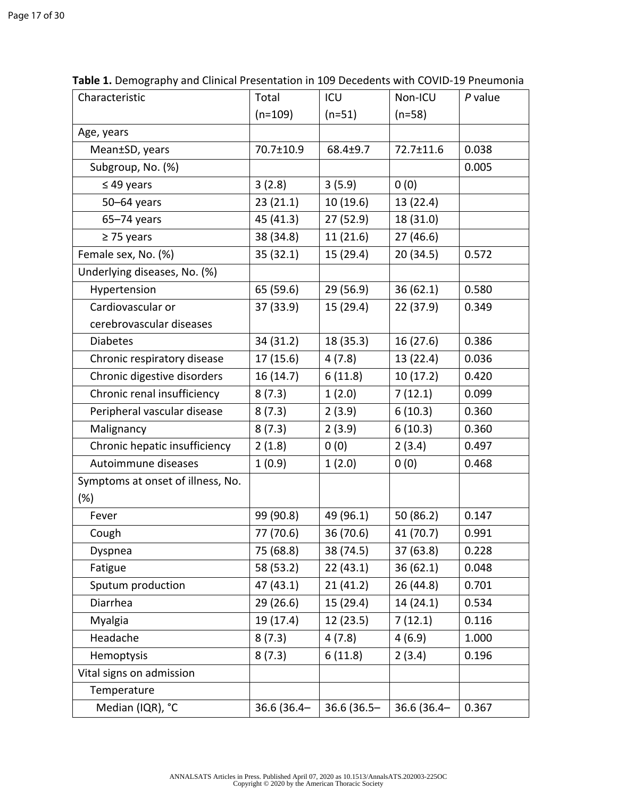| Characteristic                    | Total       | ICU           | Non-ICU     | P value |
|-----------------------------------|-------------|---------------|-------------|---------|
|                                   | $(n=109)$   | $(n=51)$      | $(n=58)$    |         |
| Age, years                        |             |               |             |         |
| Mean±SD, years                    | 70.7±10.9   | 68.4±9.7      | 72.7±11.6   | 0.038   |
| Subgroup, No. (%)                 |             |               |             | 0.005   |
| $\leq$ 49 years                   | 3(2.8)      | 3(5.9)        | 0(0)        |         |
| $50 - 64$ years                   | 23(21.1)    | 10(19.6)      | 13 (22.4)   |         |
| $65 - 74$ years                   | 45 (41.3)   | 27 (52.9)     | 18 (31.0)   |         |
| $\geq$ 75 years                   | 38 (34.8)   | 11(21.6)      | 27 (46.6)   |         |
| Female sex, No. (%)               | 35(32.1)    | 15 (29.4)     | 20 (34.5)   | 0.572   |
| Underlying diseases, No. (%)      |             |               |             |         |
| Hypertension                      | 65 (59.6)   | 29 (56.9)     | 36(62.1)    | 0.580   |
| Cardiovascular or                 | 37 (33.9)   | 15 (29.4)     | 22 (37.9)   | 0.349   |
| cerebrovascular diseases          |             |               |             |         |
| <b>Diabetes</b>                   | 34 (31.2)   | 18 (35.3)     | 16(27.6)    | 0.386   |
| Chronic respiratory disease       | 17(15.6)    | 4(7.8)        | 13 (22.4)   | 0.036   |
| Chronic digestive disorders       | 16 (14.7)   | 6(11.8)       | 10(17.2)    | 0.420   |
| Chronic renal insufficiency       | 8(7.3)      | 1(2.0)        | 7(12.1)     | 0.099   |
| Peripheral vascular disease       | 8(7.3)      | 2(3.9)        | 6(10.3)     | 0.360   |
| Malignancy                        | 8(7.3)      | 2(3.9)        | 6(10.3)     | 0.360   |
| Chronic hepatic insufficiency     | 2(1.8)      | 0(0)          | 2(3.4)      | 0.497   |
| Autoimmune diseases               | 1(0.9)      | 1(2.0)        | 0(0)        | 0.468   |
| Symptoms at onset of illness, No. |             |               |             |         |
| $(\%)$                            |             |               |             |         |
| Fever                             | 99 (90.8)   | 49 (96.1)     | 50 (86.2)   | 0.147   |
| Cough                             | 77 (70.6)   | 36 (70.6)     | 41 (70.7)   | 0.991   |
| Dyspnea                           | 75 (68.8)   | 38 (74.5)     | 37 (63.8)   | 0.228   |
| Fatigue                           | 58 (53.2)   | 22(43.1)      | 36(62.1)    | 0.048   |
| Sputum production                 | 47 (43.1)   | 21(41.2)      | 26 (44.8)   | 0.701   |
| Diarrhea                          | 29 (26.6)   | 15 (29.4)     | 14 (24.1)   | 0.534   |
| Myalgia                           | 19 (17.4)   | 12 (23.5)     | 7(12.1)     | 0.116   |
| Headache                          | 8(7.3)      | 4(7.8)        | 4(6.9)      | 1.000   |
| Hemoptysis                        | 8(7.3)      | 6(11.8)       | 2(3.4)      | 0.196   |
| Vital signs on admission          |             |               |             |         |
| Temperature                       |             |               |             |         |
| Median (IQR), °C                  | 36.6 (36.4- | $36.6(36.5 -$ | 36.6 (36.4- | 0.367   |

**Table 1.** Demography and Clinical Presentation in 109 Decedents with COVID-19 Pneumonia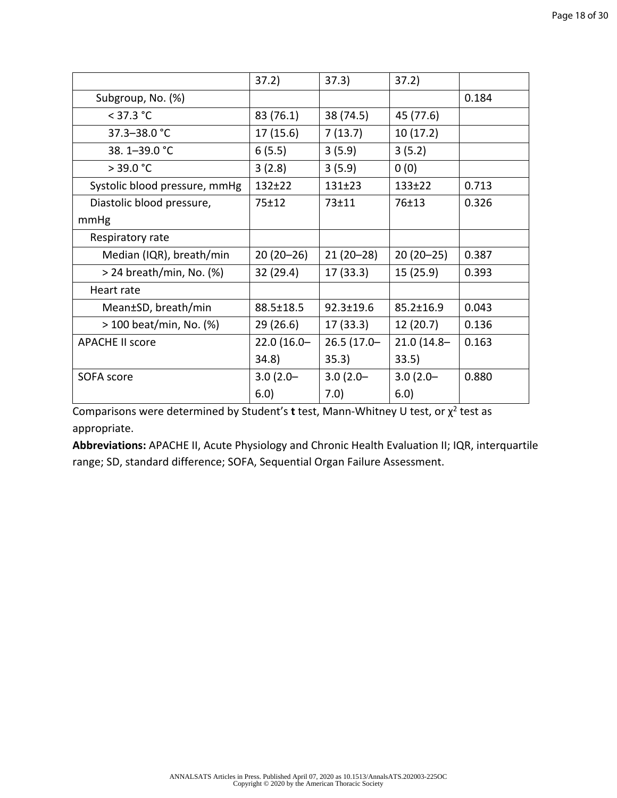|                               | 37.2)         | 37.3)           | 37.2)           |       |
|-------------------------------|---------------|-----------------|-----------------|-------|
| Subgroup, No. (%)             |               |                 |                 | 0.184 |
| $<$ 37.3 °C                   | 83 (76.1)     | 38 (74.5)       | 45 (77.6)       |       |
| 37.3-38.0 °C                  | 17(15.6)      | 7(13.7)         | 10(17.2)        |       |
| 38.1-39.0 °C                  | 6(5.5)        | 3(5.9)          | 3(5.2)          |       |
| $>$ 39.0 °C                   | 3(2.8)        | 3(5.9)          | 0(0)            |       |
| Systolic blood pressure, mmHg | $132+22$      | $131+23$        | $133+22$        | 0.713 |
| Diastolic blood pressure,     | $75 + 12$     | $73 + 11$       | $76 + 13$       | 0.326 |
| mmHg                          |               |                 |                 |       |
| Respiratory rate              |               |                 |                 |       |
| Median (IQR), breath/min      | $20(20-26)$   | $21(20-28)$     | $20(20-25)$     | 0.387 |
| $>$ 24 breath/min, No. (%)    | 32 (29.4)     | 17(33.3)        | 15 (25.9)       | 0.393 |
| Heart rate                    |               |                 |                 |       |
| Mean±SD, breath/min           | 88.5±18.5     | $92.3 \pm 19.6$ | $85.2 \pm 16.9$ | 0.043 |
| > 100 beat/min, No. (%)       | 29 (26.6)     | 17(33.3)        | 12 (20.7)       | 0.136 |
| <b>APACHE II score</b>        | $22.0(16.0 -$ | $26.5(17.0 -$   | $21.0(14.8 -$   | 0.163 |
|                               | 34.8)         | 35.3)           | 33.5)           |       |
| SOFA score                    | $3.0(2.0 -$   | $3.0(2.0 -$     | $3.0(2.0 -$     | 0.880 |
|                               | 6.0)          | 7.0)            | 6.0)            |       |

Comparisons were determined by Student's **t** test, Mann-Whitney U test, or  $\chi^2$  test as appropriate.

**Abbreviations:** APACHE II, Acute Physiology and Chronic Health Evaluation II; IQR, interquartile range; SD, standard difference; SOFA, Sequential Organ Failure Assessment.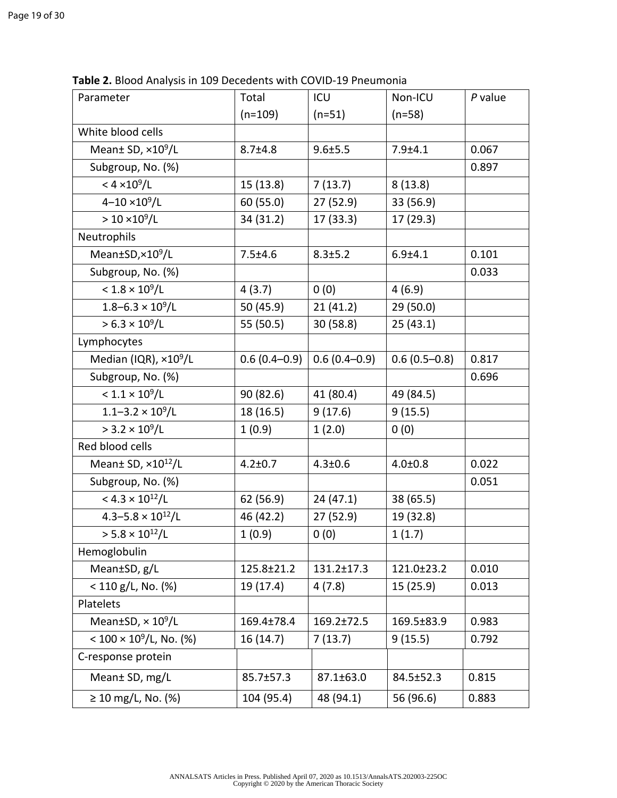| Parameter                                  | Total            | ICU              | Non-ICU         | $P$ value |
|--------------------------------------------|------------------|------------------|-----------------|-----------|
|                                            | $(n=109)$        | $(n=51)$         | $(n=58)$        |           |
| White blood cells                          |                  |                  |                 |           |
| Mean $\pm$ SD, $\times$ 10 <sup>9</sup> /L | $8.7 + 4.8$      | $9.6 \pm 5.5$    | $7.9 + 4.1$     | 0.067     |
| Subgroup, No. (%)                          |                  |                  |                 | 0.897     |
| $< 4 \times 10^9 / L$                      | 15 (13.8)        | 7(13.7)          | 8(13.8)         |           |
| $4 - 10 \times 10^9 / L$                   | 60 (55.0)        | 27(52.9)         | 33 (56.9)       |           |
| $> 10 \times 10^9 / L$                     | 34 (31.2)        | 17(33.3)         | 17 (29.3)       |           |
| Neutrophils                                |                  |                  |                 |           |
| Mean±SD,×10 <sup>9</sup> /L                | $7.5 \pm 4.6$    | $8.3 \pm 5.2$    | $6.9 + 4.1$     | 0.101     |
| Subgroup, No. (%)                          |                  |                  |                 | 0.033     |
| $< 1.8 \times 10^9 / L$                    | 4(3.7)           | 0(0)             | 4(6.9)          |           |
| $1.8 - 6.3 \times 10^9 / L$                | 50 (45.9)        | 21(41.2)         | 29 (50.0)       |           |
| $> 6.3 \times 10^9 / L$                    | 55 (50.5)        | 30 (58.8)        | 25(43.1)        |           |
| Lymphocytes                                |                  |                  |                 |           |
| Median (IQR), ×10 <sup>9</sup> /L          | $0.6(0.4 - 0.9)$ | $0.6(0.4 - 0.9)$ | $0.6(0.5-0.8)$  | 0.817     |
| Subgroup, No. (%)                          |                  |                  |                 | 0.696     |
| $< 1.1 \times 10^9 / L$                    | 90 (82.6)        | 41 (80.4)        | 49 (84.5)       |           |
| $1.1 - 3.2 \times 10^9 / L$                | 18 (16.5)        | 9(17.6)          | 9(15.5)         |           |
| $> 3.2 \times 10^9 / L$                    | 1(0.9)           | 1(2.0)           | 0(0)            |           |
| Red blood cells                            |                  |                  |                 |           |
| Mean± SD, ×10 <sup>12</sup> /L             | $4.2 \pm 0.7$    | $4.3 \pm 0.6$    | $4.0 \pm 0.8$   | 0.022     |
| Subgroup, No. (%)                          |                  |                  |                 | 0.051     |
| < $4.3 \times 10^{12}/L$                   | 62 (56.9)        | 24(47.1)         | 38 (65.5)       |           |
| $4.3 - 5.8 \times 10^{12}/L$               | 46 (42.2)        | 27(52.9)         | 19 (32.8)       |           |
| $> 5.8 \times 10^{12}/L$                   | 1(0.9)           | 0(0)             | 1(1.7)          |           |
| Hemoglobulin                               |                  |                  |                 |           |
| Mean±SD, g/L                               | 125.8±21.2       | $131.2 \pm 17.3$ | 121.0±23.2      | 0.010     |
| $< 110$ g/L, No. (%)                       | 19 (17.4)        | 4(7.8)           | 15(25.9)        | 0.013     |
| Platelets                                  |                  |                  |                 |           |
| Mean $\pm$ SD, $\times$ 10 <sup>9</sup> /L | $169.4 \pm 78.4$ | $169.2 \pm 72.5$ | 169.5±83.9      | 0.983     |
| < $100 \times 10^9$ /L, No. (%)            | 16(14.7)         | 7(13.7)          | 9(15.5)         | 0.792     |
| C-response protein                         |                  |                  |                 |           |
| Mean± SD, mg/L                             | $85.7 \pm 57.3$  | $87.1 \pm 63.0$  | $84.5 \pm 52.3$ | 0.815     |
| $\geq 10$ mg/L, No. (%)                    | 104 (95.4)       | 48 (94.1)        | 56 (96.6)       | 0.883     |

**Table 2.** Blood Analysis in 109 Decedents with COVID-19 Pneumonia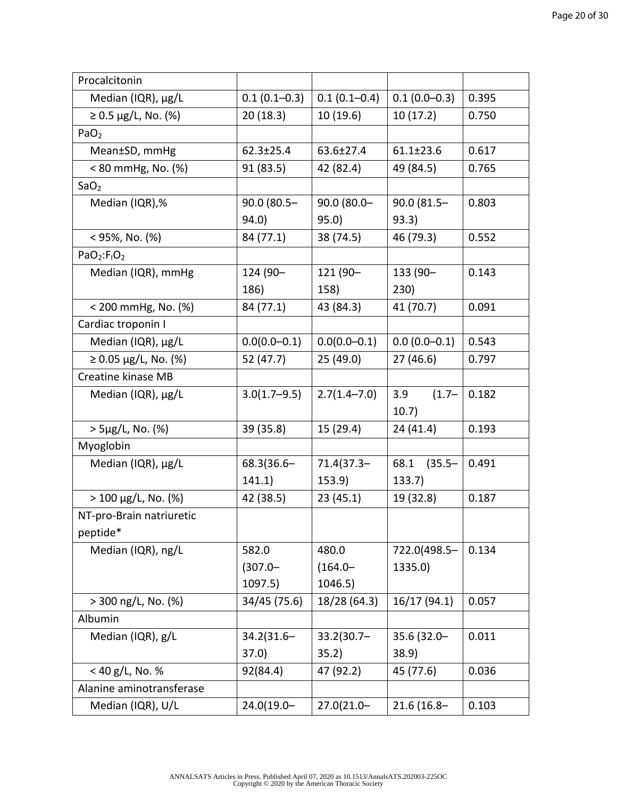| Procalcitonin                 |                  |                  |                 |       |
|-------------------------------|------------------|------------------|-----------------|-------|
| Median (IQR), µg/L            | $0.1(0.1-0.3)$   | $0.1(0.1 - 0.4)$ | $0.1(0.0-0.3)$  | 0.395 |
| $≥ 0.5 \mu g/L$ , No. (%)     | 20(18.3)         | 10(19.6)         | 10(17.2)        | 0.750 |
| PaO <sub>2</sub>              |                  |                  |                 |       |
| Mean±SD, mmHg                 | $62.3 \pm 25.4$  | 63.6±27.4        | $61.1 \pm 23.6$ | 0.617 |
| < 80 mmHg, No. (%)            | 91 (83.5)        | 42 (82.4)        | 49 (84.5)       | 0.765 |
| SaO <sub>2</sub>              |                  |                  |                 |       |
| Median (IQR),%                | $90.0(80.5 -$    | $90.0(80.0 -$    | 90.0 (81.5-     | 0.803 |
|                               | 94.0)            | 95.0)            | 93.3)           |       |
| $<$ 95%, No. (%)              | 84 (77.1)        | 38 (74.5)        | 46 (79.3)       | 0.552 |
| $PaO2:F1O2$                   |                  |                  |                 |       |
| Median (IQR), mmHg            | 124 (90-         | 121 (90-         | 133 (90-        | 0.143 |
|                               | 186)             | 158)             | 230)            |       |
| < 200 mmHg, No. (%)           | 84 (77.1)        | 43 (84.3)        | 41 (70.7)       | 0.091 |
| Cardiac troponin I            |                  |                  |                 |       |
| Median (IQR), µg/L            | $0.0(0.0 - 0.1)$ | $0.0(0.0 - 0.1)$ | $0.0(0.0-0.1)$  | 0.543 |
| $\geq 0.05 \mu g/L$ , No. (%) | 52 (47.7)        | 25(49.0)         | 27(46.6)        | 0.797 |
| Creatine kinase MB            |                  |                  |                 |       |
| Median (IQR), µg/L            | $3.0(1.7-9.5)$   | $2.7(1.4 - 7.0)$ | $(1.7 -$<br>3.9 | 0.182 |
|                               |                  |                  | 10.7)           |       |
| $>$ 5µg/L, No. (%)            | 39 (35.8)        | 15 (29.4)        | 24 (41.4)       | 0.193 |
| Myoglobin                     |                  |                  |                 |       |
| Median (IQR), µg/L            | 68.3(36.6-       | $71.4(37.3 -$    | 68.1 (35.5-     | 0.491 |
|                               | 141.1)           | 153.9)           | 133.7           |       |
| $> 100 \mu g/L$ , No. (%)     | 42 (38.5)        | 23(45.1)         | 19 (32.8)       | 0.187 |
| NT-pro-Brain natriuretic      |                  |                  |                 |       |
| peptide*                      |                  |                  |                 |       |
| Median (IQR), ng/L            | 582.0            | 480.0            | 722.0(498.5-    | 0.134 |
|                               | $(307.0 -$       | $(164.0 -$       | 1335.0)         |       |
|                               | 1097.5)          | 1046.5)          |                 |       |
| $> 300$ ng/L, No. (%)         | 34/45 (75.6)     | 18/28 (64.3)     | 16/17 (94.1)    | 0.057 |
| Albumin                       |                  |                  |                 |       |
| Median (IQR), g/L             | $34.2(31.6 -$    | $33.2(30.7 -$    | 35.6 (32.0-     | 0.011 |
|                               | 37.0)            | 35.2)            | 38.9)           |       |
| $<$ 40 g/L, No. %             | 92(84.4)         | 47 (92.2)        | 45 (77.6)       | 0.036 |
| Alanine aminotransferase      |                  |                  |                 |       |
| Median (IQR), U/L             | $24.0(19.0 -$    | $27.0(21.0 -$    | 21.6 (16.8-     | 0.103 |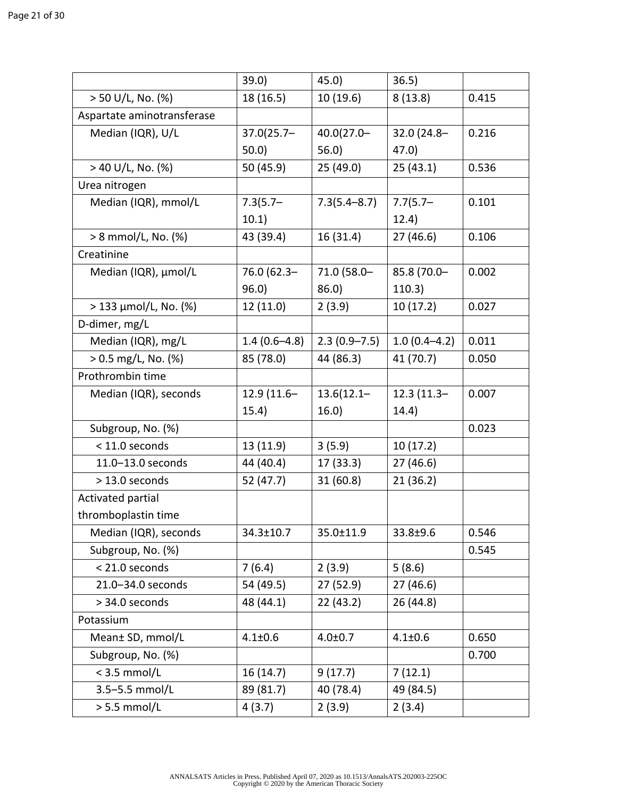|                              | 39.0)            | 45.0             | 36.5)            |       |
|------------------------------|------------------|------------------|------------------|-------|
| $> 50$ U/L, No. (%)          | 18 (16.5)        | 10(19.6)         | 8(13.8)          |       |
| Aspartate aminotransferase   |                  |                  |                  |       |
| Median (IQR), U/L            | $37.0(25.7 -$    | $40.0(27.0 -$    | 32.0 (24.8-      | 0.216 |
|                              | 50.0             | 56.0             | 47.0)            |       |
| $>$ 40 U/L, No. (%)          | 50 (45.9)        | 25(49.0)         | 25(43.1)         | 0.536 |
| Urea nitrogen                |                  |                  |                  |       |
| Median (IQR), mmol/L         | $7.3(5.7 -$      | $7.3(5.4 - 8.7)$ | $7.7(5.7 -$      | 0.101 |
|                              | 10.1)            |                  | 12.4)            |       |
| > 8 mmol/L, No. (%)          | 43 (39.4)        | 16 (31.4)        | 27(46.6)         | 0.106 |
| Creatinine                   |                  |                  |                  |       |
| Median (IQR), µmol/L         | 76.0 (62.3-      | 71.0 (58.0-      | 85.8 (70.0-      | 0.002 |
|                              | 96.0             | 86.0             | 110.3)           |       |
| $>$ 133 $\mu$ mol/L, No. (%) | 12(11.0)         | 2(3.9)           | 10(17.2)         | 0.027 |
| D-dimer, mg/L                |                  |                  |                  |       |
| Median (IQR), mg/L           | $1.4(0.6 - 4.8)$ | $2.3(0.9 - 7.5)$ | $1.0(0.4 - 4.2)$ | 0.011 |
| $> 0.5$ mg/L, No. (%)        | 85 (78.0)        | 44 (86.3)        | 41 (70.7)        | 0.050 |
| Prothrombin time             |                  |                  |                  |       |
| Median (IQR), seconds        | 12.9 (11.6-      | $13.6(12.1 -$    | $12.3(11.3-$     | 0.007 |
|                              | 15.4)            | 16.0)            | 14.4)            |       |
| Subgroup, No. (%)            |                  |                  |                  | 0.023 |
| < 11.0 seconds               | 13 (11.9)        | 3(5.9)           | 10(17.2)         |       |
| 11.0-13.0 seconds            | 44 (40.4)        | 17 (33.3)        | 27(46.6)         |       |
| $>$ 13.0 seconds             | 52 (47.7)        | 31 (60.8)        | 21(36.2)         |       |
| Activated partial            |                  |                  |                  |       |
| thromboplastin time          |                  |                  |                  |       |
| Median (IQR), seconds        | 34.3±10.7        | 35.0±11.9        | 33.8±9.6         | 0.546 |
| Subgroup, No. (%)            |                  |                  |                  | 0.545 |
| < 21.0 seconds               | 7(6.4)           | 2(3.9)           | 5(8.6)           |       |
| 21.0-34.0 seconds            | 54 (49.5)        | 27 (52.9)        | 27 (46.6)        |       |
| > 34.0 seconds               | 48 (44.1)        | 22(43.2)         | 26 (44.8)        |       |
| Potassium                    |                  |                  |                  |       |
| Mean± SD, mmol/L             | $4.1 \pm 0.6$    | $4.0 + 0.7$      | $4.1 \pm 0.6$    | 0.650 |
| Subgroup, No. (%)            |                  |                  |                  | 0.700 |
| $<$ 3.5 mmol/L               | 16(14.7)         | 9(17.7)          | 7(12.1)          |       |
| 3.5-5.5 mmol/L               | 89 (81.7)        | 40 (78.4)        | 49 (84.5)        |       |
| $> 5.5$ mmol/L               | 4(3.7)           | 2(3.9)           | 2(3.4)           |       |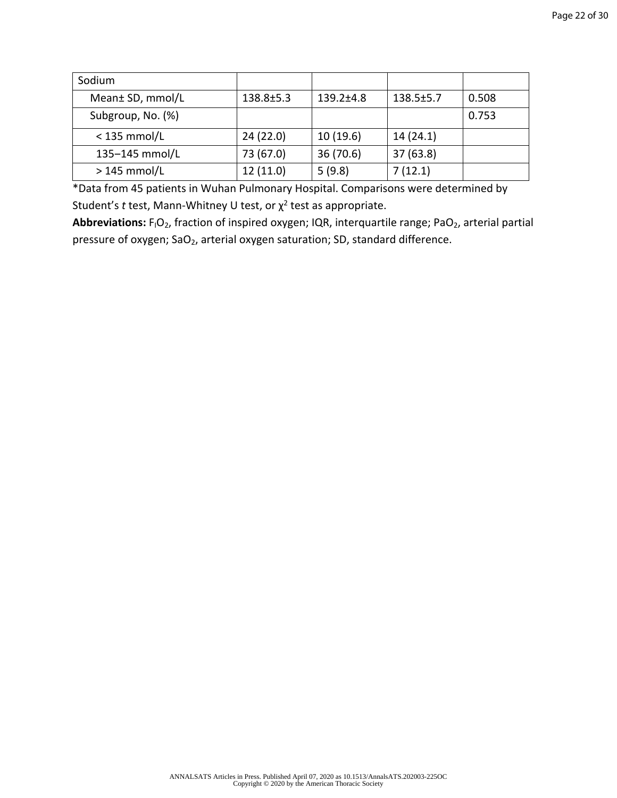| Sodium            |                 |                 |                 |       |
|-------------------|-----------------|-----------------|-----------------|-------|
| Mean± SD, mmol/L  | $138.8 \pm 5.3$ | $139.2 \pm 4.8$ | $138.5 \pm 5.7$ | 0.508 |
| Subgroup, No. (%) |                 |                 |                 | 0.753 |
| $<$ 135 mmol/L    | 24(22.0)        | 10(19.6)        | 14(24.1)        |       |
| 135-145 mmol/L    | 73 (67.0)       | 36 (70.6)       | 37(63.8)        |       |
| $>145$ mmol/L     | 12(11.0)        | 5(9.8)          | 7(12.1)         |       |

\*Data from 45 patients in Wuhan Pulmonary Hospital. Comparisons were determined by Student's *t* test, Mann-Whitney U test, or χ 2 test as appropriate.

Abbreviations: F<sub>I</sub>O<sub>2</sub>, fraction of inspired oxygen; IQR, interquartile range; PaO<sub>2</sub>, arterial partial pressure of oxygen;  $SaO<sub>2</sub>$ , arterial oxygen saturation; SD, standard difference.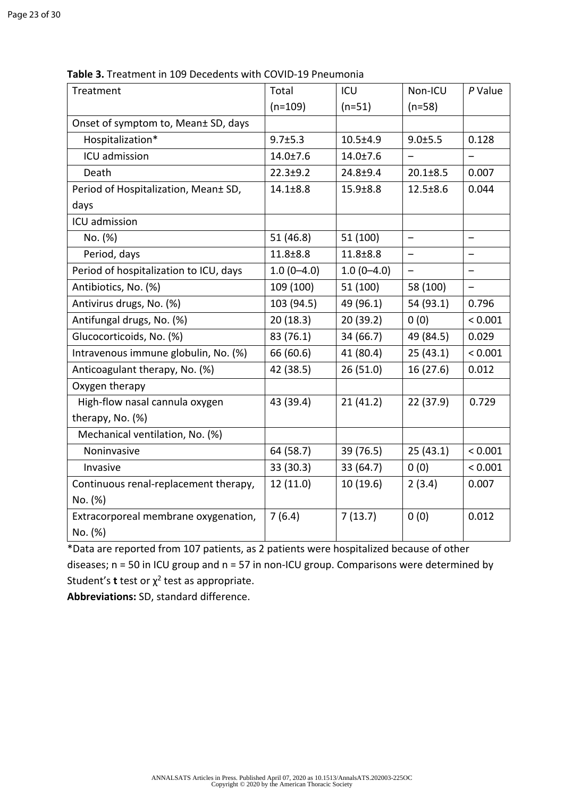| Treatment                              | Total          | ICU            | Non-ICU                  | $P$ Value                |
|----------------------------------------|----------------|----------------|--------------------------|--------------------------|
|                                        | $(n=109)$      | $(n=51)$       | $(n=58)$                 |                          |
| Onset of symptom to, Mean± SD, days    |                |                |                          |                          |
| Hospitalization*                       | $9.7 \pm 5.3$  | $10.5 \pm 4.9$ | 9.0±5.5                  | 0.128                    |
| ICU admission                          | $14.0 \pm 7.6$ | $14.0 \pm 7.6$ |                          |                          |
| Death                                  | $22.3 + 9.2$   | $24.8 + 9.4$   | $20.1 \pm 8.5$           | 0.007                    |
| Period of Hospitalization, Mean± SD,   | $14.1 \pm 8.8$ | $15.9 \pm 8.8$ | $12.5 \pm 8.6$           | 0.044                    |
| days                                   |                |                |                          |                          |
| ICU admission                          |                |                |                          |                          |
| No. (%)                                | 51(46.8)       | 51 (100)       | $\qquad \qquad -$        | $\qquad \qquad$          |
| Period, days                           | $11.8 + 8.8$   | $11.8 + 8.8$   |                          |                          |
| Period of hospitalization to ICU, days | $1.0(0-4.0)$   | $1.0(0-4.0)$   | $\overline{\phantom{0}}$ | $\overline{\phantom{0}}$ |
| Antibiotics, No. (%)                   | 109 (100)      | 51 (100)       | 58 (100)                 | $\qquad \qquad -$        |
| Antivirus drugs, No. (%)               | 103 (94.5)     | 49 (96.1)      | 54 (93.1)                | 0.796                    |
| Antifungal drugs, No. (%)              | 20(18.3)       | 20(39.2)       | 0(0)                     | < 0.001                  |
| Glucocorticoids, No. (%)               | 83 (76.1)      | 34 (66.7)      | 49 (84.5)                | 0.029                    |
| Intravenous immune globulin, No. (%)   | 66 (60.6)      | 41 (80.4)      | 25(43.1)                 | < 0.001                  |
| Anticoagulant therapy, No. (%)         | 42 (38.5)      | 26(51.0)       | 16 (27.6)                | 0.012                    |
| Oxygen therapy                         |                |                |                          |                          |
| High-flow nasal cannula oxygen         | 43 (39.4)      | 21(41.2)       | 22 (37.9)                | 0.729                    |
| therapy, No. (%)                       |                |                |                          |                          |
| Mechanical ventilation, No. (%)        |                |                |                          |                          |
| Noninvasive                            | 64 (58.7)      | 39 (76.5)      | 25(43.1)                 | < 0.001                  |
| Invasive                               | 33 (30.3)      | 33 (64.7)      | 0(0)                     | < 0.001                  |
| Continuous renal-replacement therapy,  | 12 (11.0)      | 10(19.6)       | 2(3.4)                   | 0.007                    |
| No. (%)                                |                |                |                          |                          |
| Extracorporeal membrane oxygenation,   | 7(6.4)         | 7(13.7)        | 0(0)                     | 0.012                    |
| No. (%)                                |                |                |                          |                          |

**Table 3.** Treatment in 109 Decedents with COVID-19 Pneumonia

\*Data are reported from 107 patients, as 2 patients were hospitalized because of other diseases; n = 50 in ICU group and n = 57 in non-ICU group. Comparisons were determined by Student's **t** test or  $\chi^2$  test as appropriate.

**Abbreviations:** SD, standard difference.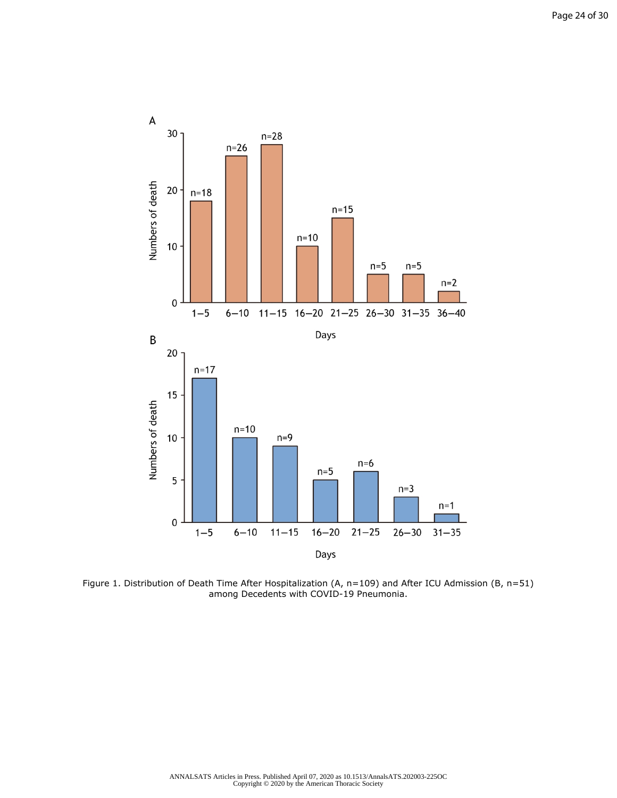

Figure 1. Distribution of Death Time After Hospitalization (A, n=109) and After ICU Admission (B, n=51) among Decedents with COVID-19 Pneumonia.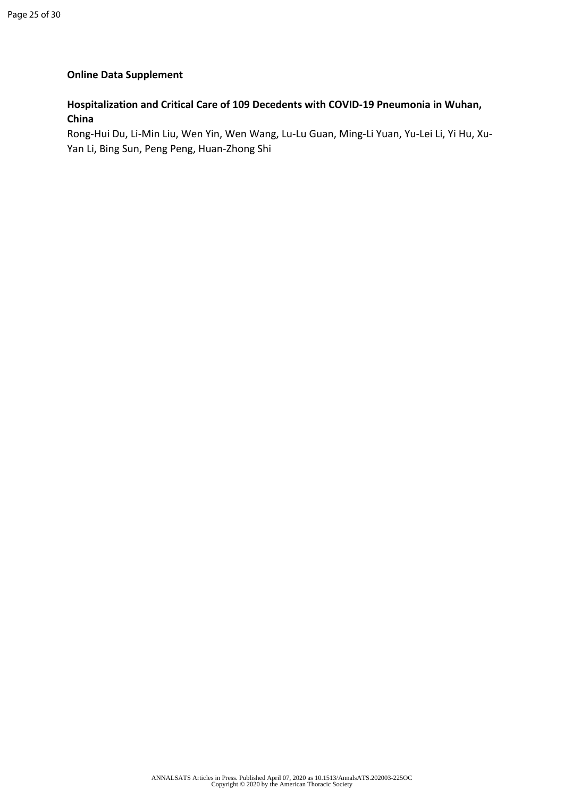# **Online Data Supplement**

# **Hospitalization and Critical Care of 109 Decedents with COVID-19 Pneumonia in Wuhan, China**

Rong-Hui Du, Li-Min Liu, Wen Yin, Wen Wang, Lu-Lu Guan, Ming-Li Yuan, Yu-Lei Li, Yi Hu, Xu-Yan Li, Bing Sun, Peng Peng, Huan-Zhong Shi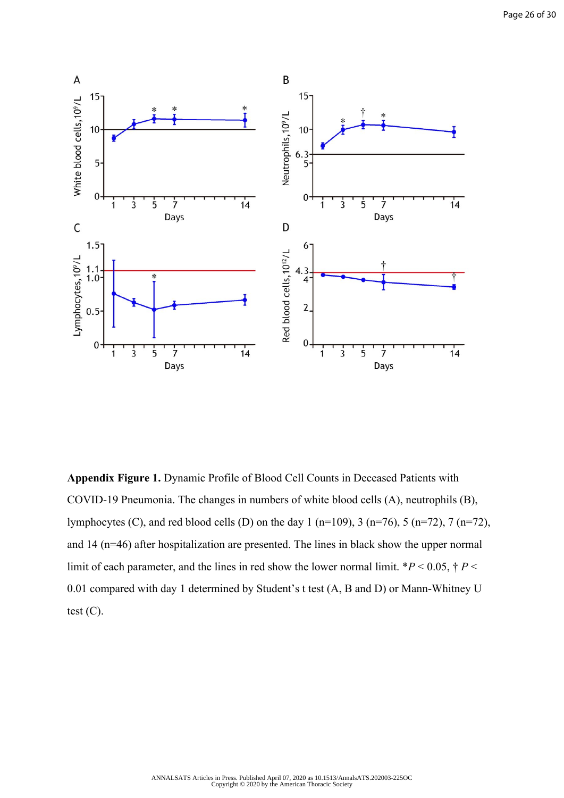

**Appendix Figure 1.** Dynamic Profile of Blood Cell Counts in Deceased Patients with COVID-19 Pneumonia. The changes in numbers of white blood cells (A), neutrophils (B), lymphocytes (C), and red blood cells (D) on the day 1 (n=109), 3 (n=76), 5 (n=72), 7 (n=72), and 14 (n=46) after hospitalization are presented. The lines in black show the upper normal limit of each parameter, and the lines in red show the lower normal limit.  $*P < 0.05$ ,  $\dagger P <$ 0.01 compared with day 1 determined by Student's t test (A, B and D) or Mann-Whitney U test  $(C)$ .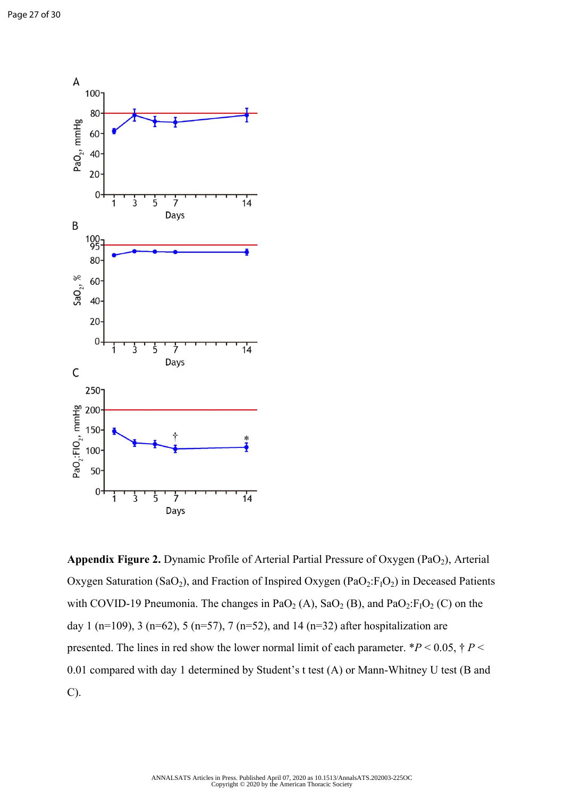

Appendix Figure 2. Dynamic Profile of Arterial Partial Pressure of Oxygen (PaO<sub>2</sub>), Arterial Oxygen Saturation (SaO<sub>2</sub>), and Fraction of Inspired Oxygen (PaO<sub>2</sub>:F<sub>I</sub>O<sub>2</sub>) in Deceased Patients with COVID-19 Pneumonia. The changes in PaO<sub>2</sub> (A), SaO<sub>2</sub> (B), and PaO<sub>2</sub>:F<sub>1</sub>O<sub>2</sub> (C) on the day 1 (n=109), 3 (n=62), 5 (n=57), 7 (n=52), and 14 (n=32) after hospitalization are presented. The lines in red show the lower normal limit of each parameter.  $*P < 0.05$ ,  $\dagger P <$ 0.01 compared with day 1 determined by Student's t test (A) or Mann-Whitney U test (B and C).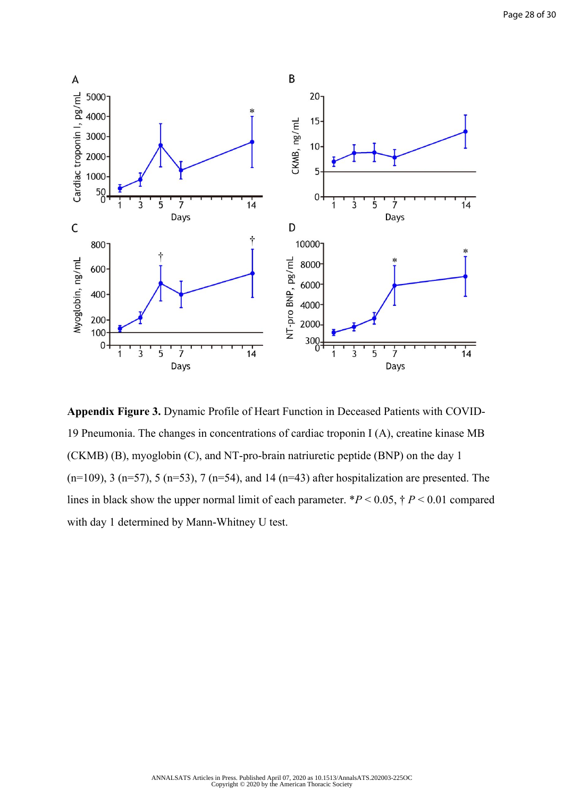

**Appendix Figure 3.** Dynamic Profile of Heart Function in Deceased Patients with COVID-19 Pneumonia. The changes in concentrations of cardiac troponin I (A), creatine kinase MB (CKMB) (B), myoglobin (C), and NT-pro-brain natriuretic peptide (BNP) on the day 1  $(n=109)$ , 3  $(n=57)$ , 5  $(n=53)$ , 7  $(n=54)$ , and 14  $(n=43)$  after hospitalization are presented. The lines in black show the upper normal limit of each parameter. \**P* < 0.05, † *P* < 0.01 compared with day 1 determined by Mann-Whitney U test.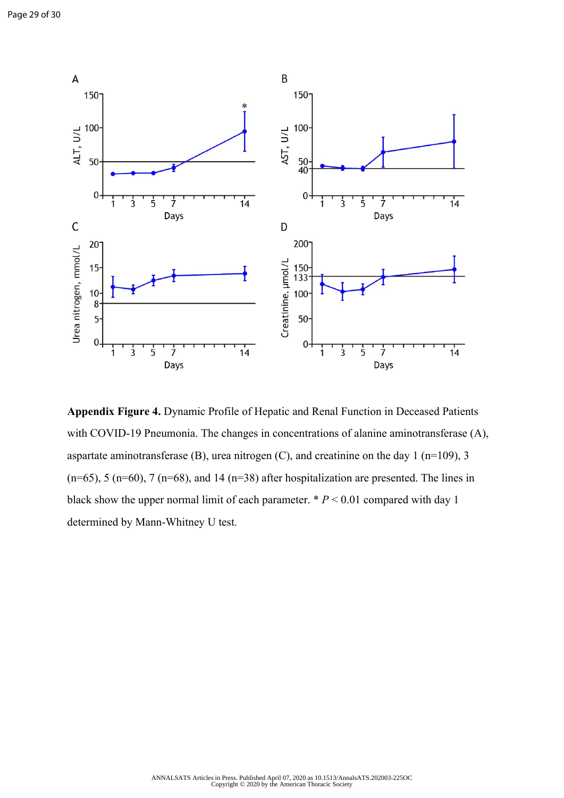

**Appendix Figure 4.** Dynamic Profile of Hepatic and Renal Function in Deceased Patients with COVID-19 Pneumonia. The changes in concentrations of alanine aminotransferase (A), aspartate aminotransferase  $(B)$ , urea nitrogen  $(C)$ , and creatinine on the day 1 (n=109), 3  $(n=65)$ , 5  $(n=60)$ , 7  $(n=68)$ , and 14  $(n=38)$  after hospitalization are presented. The lines in black show the upper normal limit of each parameter. \* *P* < 0.01 compared with day 1 determined by Mann-Whitney U test.